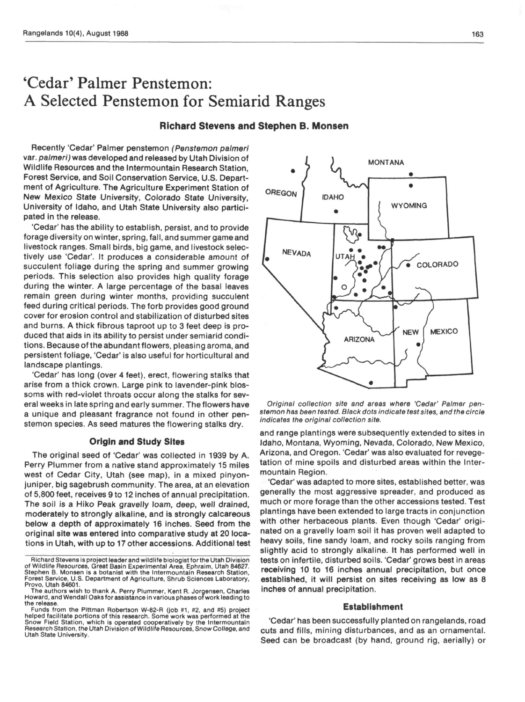# 'Cedar' Palmer Penstemon: A Selected Penstemon for Semiarid Ranges

# Richard Stevens and Stephen B. Monsen

Recently 'Cedar' Palmer penstemon (Penstemon palmeri var. palmeri) was developed and released by Utah Division of Wildlife Resources and the Intermountain Research Station, Forest Service, and Soil Conservation Service, U.S. Department of Agriculture. The Agriculture Experiment Station of New Mexico State University, Colorado State University, University of Idaho, and Utah State University also participated in the release.

'Cedar' has the ability to establish, persist, and to provide forage diversity on winter, spring, fall, and summer game and livestock ranges. Small birds, big game, and livestock selectively use 'Cedar'. it produces a considerable amount of succulent foliage during the spring and summer growing periods. This selection also provides high quality forage during the winter. A large percentage of the basal leaves remain green during winter months, providing succulent feed during critical periods. The forb provides good ground cover for erosion control and stabilization of disturbed sites and burns. A thick fibrous taproot up to 3 feet deep is produced that aids in its ability to persist under semiarid conditions. Because of the abundant flowers, pleasing aroma, and persistent foliage, 'Cedar' is also useful for horticultural and landscape plantings.

'Cedar' has long (over 4 feet), erect, flowering stalks that arise from a thick crown. Large pink to lavender-pink blossoms with red-violet throats occur along the stalks for several weeks in late spring and early summer. The flowers have a unique and pleasant fragrance not found in other penstemon species. As seed matures the flowering stalks dry.

#### Origin and Study Sites

The original seed of 'Cedar' was collected in 1939 by A. Perry Plummer from a native stand approximately 15 miles west of Cedar City, Utah (see map), in a mixed pinyonjuniper, big sagebrush community. The area, at an elevation of 5,800 feet, receives 9 to 12 inches of annual precipitation. The soil is a Hiko Peak gravelly loam, deep, well drained, moderately to strongly alkaline, and is strongly calcareous below a depth of approximately 16 inches. Seed from the original site was entered into comparative study at 20 locations in Utah, with up to 17 other accessions. Additional test



**MONTANA** 

 $\bullet$ 

Original collection site and areas where 'Cedar' Palmer penstemon has been tested. Black dots indicate test sites, and the circle indicates the original collection site.

and range plantings were subsequently extended to sites in Idaho, Montana, Wyoming, Nevada, Colorado, New Mexico, Arizona, and Oregon. 'Cedar' was also evaluated for revegetation of mine spoils and disturbed areas within the Intermountain Region.

'Cedar' was adapted to more sites, established better, was generally the most aggressive spreader, and produced as much or more forage than the other accessions tested. Test plantings have been extended to large tracts in conjunction with other herbaceous plants. Even though 'Cedar' originated on a gravelly loam soil it has proven well adapted to heavy soils, fine sandy loam, and rocky soils ranging from slightly acid to strongly alkaline. It has performed well in tests on infertile, disturbed soils. 'Cedar' grows best in areas receiving 10 to 16 inches annual precipitation, but once established, it will persist on sites receiving as low as 8 inches of annual precipitation.

# Establishment

'Cedar' has been successfully planted on rangelands, road cuts and fills, mining disturbances, and as an ornamental. Seed can be broadcast (by hand, ground rig, aerially) or

Richard Stevens Is prolect leader and wildlife biologist forthe Utah Division of Wildlife Resources, Great Basin Experimental Area, Ephraim, Utah 84827. Stephen B. Monsen is a botanist with the lntermountaln Research Station, Forest Service, U.S. Department of Agriculture, Shrub Sciences Laboratory, Provo, Utah 84601.

The authors wish to thank A. Perry Plummer, Kent R. Jorgensen, Charles<br>Howard, and Wendall Oaks for assistance in various phases of work leading to the release.

Funds from the Pittman Robertson W-82-R (job #1, #2, and #5) project helped facilitate portions of this research. Some work was performed at the Snow Field Station, which is operated cooperatively by the Intermountain Research Station, the Utah Division of Wildlife Resources, Snow College, and Utah State University.